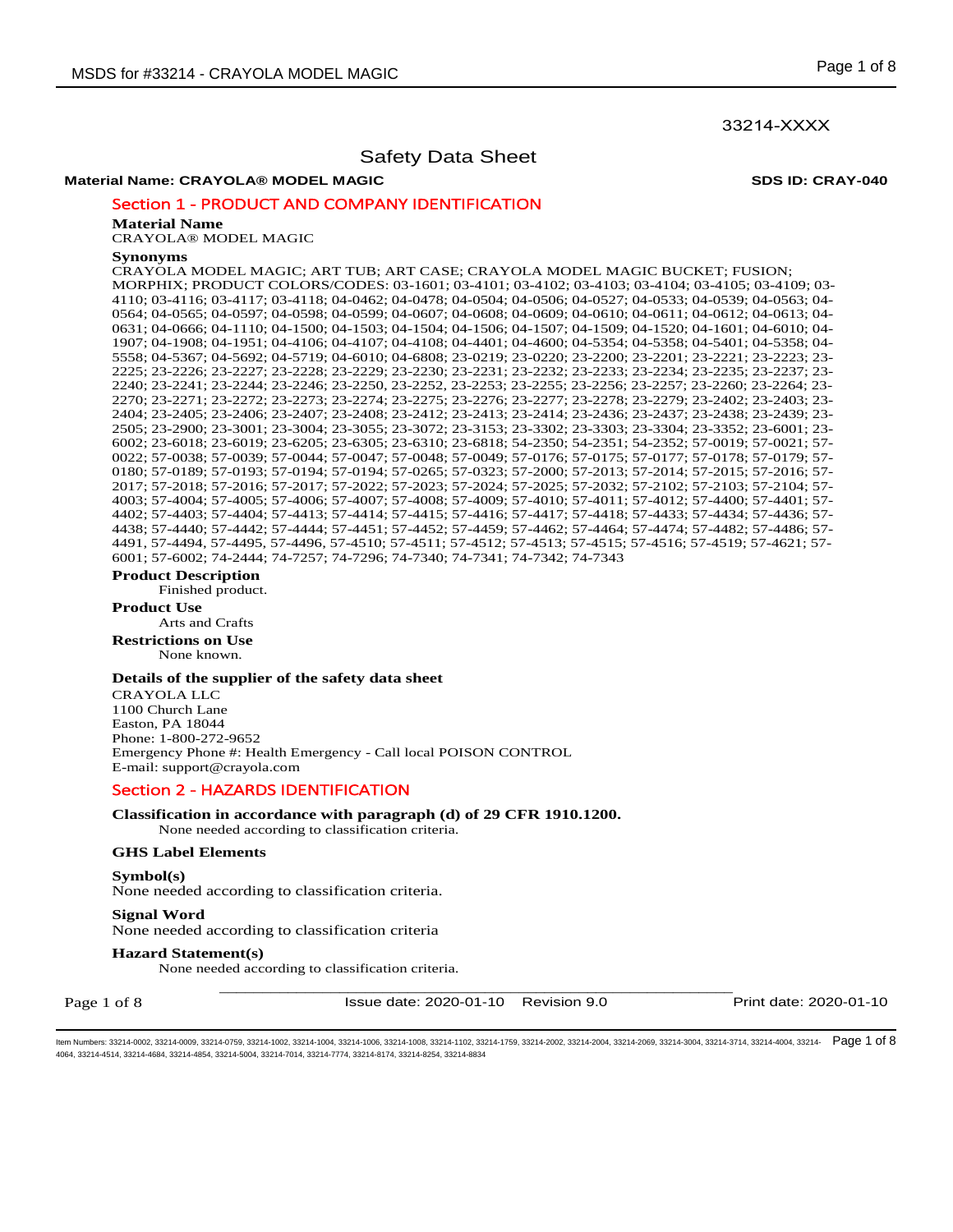## 33214-XXXX

## Safety Data Sheet

## **Material Name: CRAYOLA® MODEL MAGIC SDS ID: CRAY-040**

## Section 1 - PRODUCT AND COMPANY IDENTIFICATION

#### **Material Name**

CRAYOLA® MODEL MAGIC

#### **Synonyms**

CRAYOLA MODEL MAGIC; ART TUB; ART CASE; CRAYOLA MODEL MAGIC BUCKET; FUSION; MORPHIX; PRODUCT COLORS/CODES: 03-1601; 03-4101; 03-4102; 03-4103; 03-4104; 03-4105; 03-4109; 03- 4110; 03-4116; 03-4117; 03-4118; 04-0462; 04-0478; 04-0504; 04-0506; 04-0527; 04-0533; 04-0539; 04-0563; 04- 0564; 04-0565; 04-0597; 04-0598; 04-0599; 04-0607; 04-0608; 04-0609; 04-0610; 04-0611; 04-0612; 04-0613; 04- 0631; 04-0666; 04-1110; 04-1500; 04-1503; 04-1504; 04-1506; 04-1507; 04-1509; 04-1520; 04-1601; 04-6010; 04- 1907; 04-1908; 04-1951; 04-4106; 04-4107; 04-4108; 04-4401; 04-4600; 04-5354; 04-5358; 04-5401; 04-5358; 04- 5558; 04-5367; 04-5692; 04-5719; 04-6010; 04-6808; 23-0219; 23-0220; 23-2200; 23-2201; 23-2221; 23-2223; 23- 2225; 23-2226; 23-2227; 23-2228; 23-2229; 23-2230; 23-2231; 23-2232; 23-2233; 23-2234; 23-2235; 23-2237; 23- 2240; 23-2241; 23-2244; 23-2246; 23-2250, 23-2252, 23-2253; 23-2255; 23-2256; 23-2257; 23-2260; 23-2264; 23- 2270; 23-2271; 23-2272; 23-2273; 23-2274; 23-2275; 23-2276; 23-2277; 23-2278; 23-2279; 23-2402; 23-2403; 23- 2404; 23-2405; 23-2406; 23-2407; 23-2408; 23-2412; 23-2413; 23-2414; 23-2436; 23-2437; 23-2438; 23-2439; 23- 2505; 23-2900; 23-3001; 23-3004; 23-3055; 23-3072; 23-3153; 23-3302; 23-3303; 23-3304; 23-3352; 23-6001; 23- 6002; 23-6018; 23-6019; 23-6205; 23-6305; 23-6310; 23-6818; 54-2350; 54-2351; 54-2352; 57-0019; 57-0021; 57- 0022; 57-0038; 57-0039; 57-0044; 57-0047; 57-0048; 57-0049; 57-0176; 57-0175; 57-0177; 57-0178; 57-0179; 57- 0180; 57-0189; 57-0193; 57-0194; 57-0194; 57-0265; 57-0323; 57-2000; 57-2013; 57-2014; 57-2015; 57-2016; 57- 2017; 57-2018; 57-2016; 57-2017; 57-2022; 57-2023; 57-2024; 57-2025; 57-2032; 57-2102; 57-2103; 57-2104; 57- 4003; 57-4004; 57-4005; 57-4006; 57-4007; 57-4008; 57-4009; 57-4010; 57-4011; 57-4012; 57-4400; 57-4401; 57- 4402; 57-4403; 57-4404; 57-4413; 57-4414; 57-4415; 57-4416; 57-4417; 57-4418; 57-4433; 57-4434; 57-4436; 57- 4438; 57-4440; 57-4442; 57-4444; 57-4451; 57-4452; 57-4459; 57-4462; 57-4464; 57-4474; 57-4482; 57-4486; 57- 4491, 57-4494, 57-4495, 57-4496, 57-4510; 57-4511; 57-4512; 57-4513; 57-4515; 57-4516; 57-4519; 57-4621; 57- 6001; 57-6002; 74-2444; 74-7257; 74-7296; 74-7340; 74-7341; 74-7342; 74-7343

## **Product Description**

Finished product.

**Product Use**

Arts and Crafts

**Restrictions on Use** None known.

## **Details of the supplier of the safety data sheet**

CRAYOLA LLC 1100 Church Lane Easton, PA 18044 Phone: 1-800-272-9652 Emergency Phone #: Health Emergency - Call local POISON CONTROL E-mail: support@crayola.com

## Section 2 - HAZARDS IDENTIFICATION

**Classification in accordance with paragraph (d) of 29 CFR 1910.1200.**  None needed according to classification criteria.

## **GHS Label Elements**

#### **Symbol(s)**

None needed according to classification criteria.

#### **Signal Word**

None needed according to classification criteria

## **Hazard Statement(s)**

None needed according to classification criteria.

Page 1 of 8

\_\_\_\_\_\_\_\_\_\_\_\_\_\_\_\_\_\_\_\_\_\_\_\_\_\_\_\_\_\_\_\_\_\_\_\_\_\_\_\_\_\_\_\_\_\_\_\_\_\_\_\_\_\_\_\_\_\_\_\_ Issue date: 2020-01-10 Revision 9.0 Print date: 2020-01-10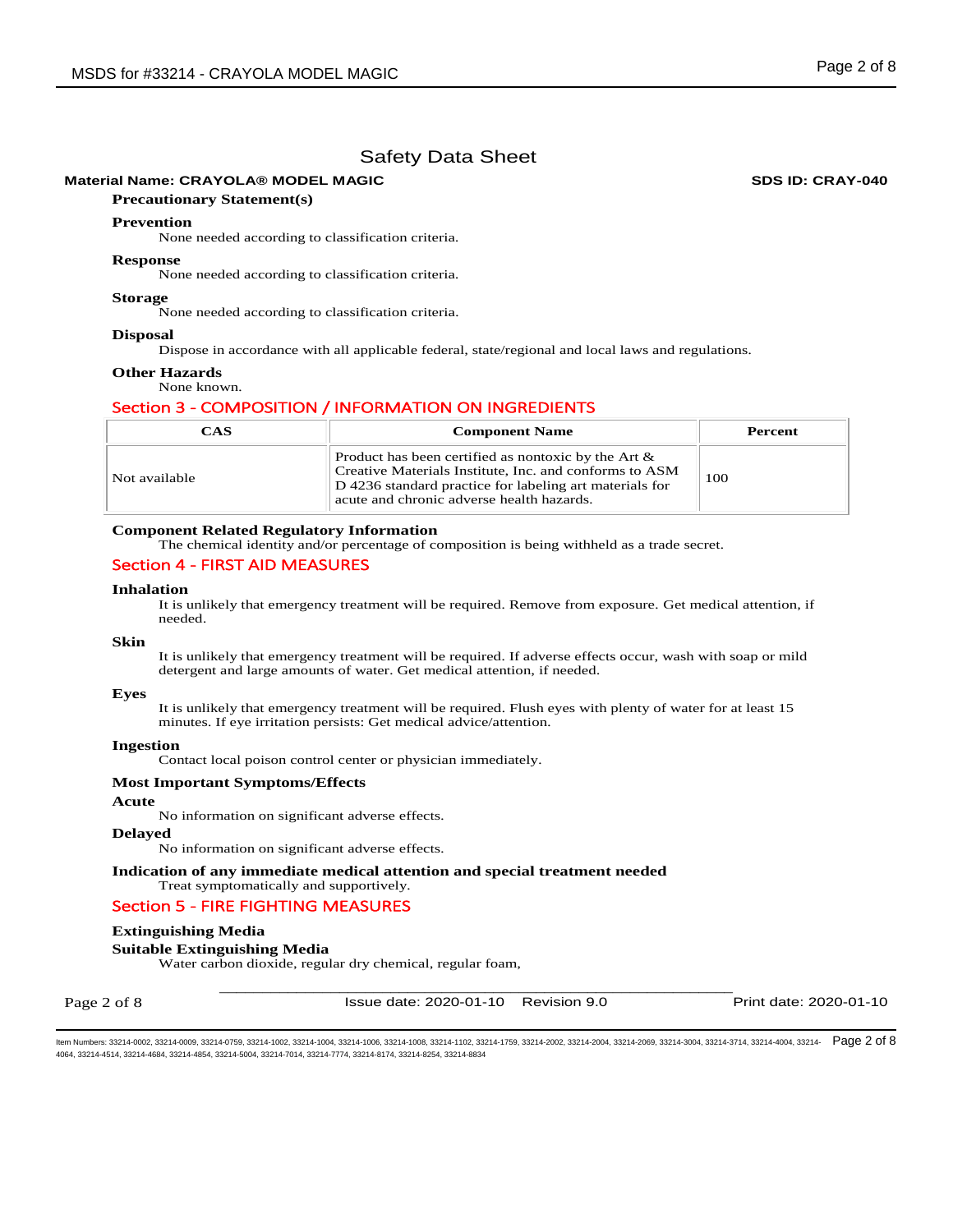## **Material Name: CRAYOLA® MODEL MAGIC SDS ID: CRAY-040**

## **Precautionary Statement(s)**

## **Prevention**

None needed according to classification criteria.

#### **Response**

None needed according to classification criteria.

#### **Storage**

None needed according to classification criteria.

## **Disposal**

Dispose in accordance with all applicable federal, state/regional and local laws and regulations.

#### **Other Hazards**  None known.

## Section 3 - COMPOSITION / INFORMATION ON INGREDIENTS

| <b>CAS</b>    | <b>Component Name</b>                                                                                                                                                                                                    |     |  |  |
|---------------|--------------------------------------------------------------------------------------------------------------------------------------------------------------------------------------------------------------------------|-----|--|--|
| Not available | Product has been certified as nontoxic by the Art $\&$<br>Creative Materials Institute, Inc. and conforms to ASM<br>D 4236 standard practice for labeling art materials for<br>acute and chronic adverse health hazards. | 100 |  |  |

## **Component Related Regulatory Information**

The chemical identity and/or percentage of composition is being withheld as a trade secret.

## Section 4 - FIRST AID MEASURES

## **Inhalation**

It is unlikely that emergency treatment will be required. Remove from exposure. Get medical attention, if needed.

## **Skin**

It is unlikely that emergency treatment will be required. If adverse effects occur, wash with soap or mild detergent and large amounts of water. Get medical attention, if needed.

#### **Eyes**

It is unlikely that emergency treatment will be required. Flush eyes with plenty of water for at least 15 minutes. If eye irritation persists: Get medical advice/attention.

#### **Ingestion**

Contact local poison control center or physician immediately.

#### **Most Important Symptoms/Effects**

#### **Acute**

No information on significant adverse effects.

## **Delayed**

No information on significant adverse effects.

**Indication of any immediate medical attention and special treatment needed**  Treat symptomatically and supportively.

## Section 5 - FIRE FIGHTING MEASURES

## **Extinguishing Media**

## **Suitable Extinguishing Media**

Water carbon dioxide, regular dry chemical, regular foam,

Page 2 of 8

\_\_\_\_\_\_\_\_\_\_\_\_\_\_\_\_\_\_\_\_\_\_\_\_\_\_\_\_\_\_\_\_\_\_\_\_\_\_\_\_\_\_\_\_\_\_\_\_\_\_\_\_\_\_\_\_\_\_\_\_ Issue date: 2020-01-10 Revision 9.0 Print date: 2020-01-10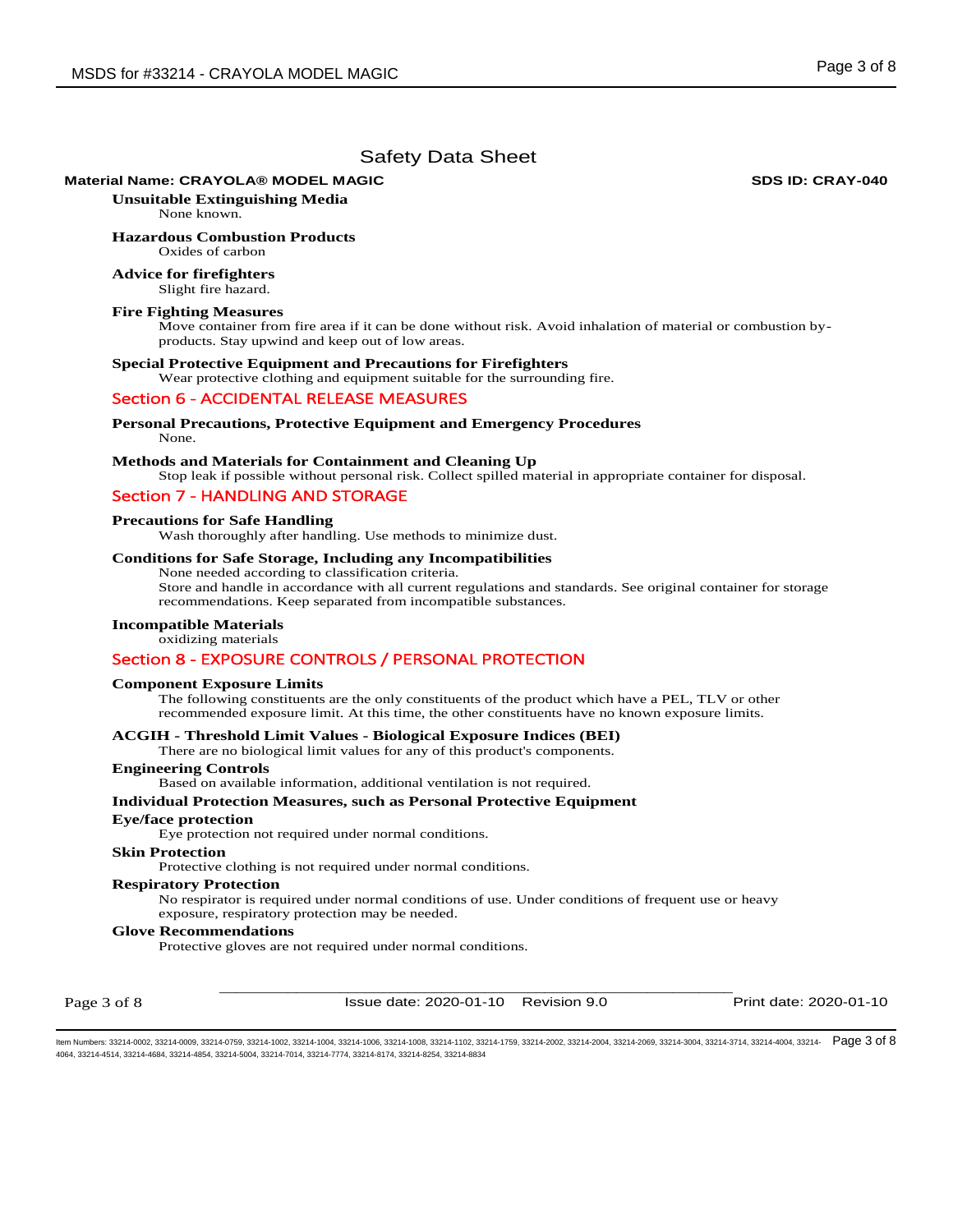## **Material Name: CRAYOLA® MODEL MAGIC SDS ID: CRAY-040**

**Unsuitable Extinguishing Media** None known.

**Hazardous Combustion Products** 

## Oxides of carbon **Advice for firefighters**

Slight fire hazard.

## **Fire Fighting Measures**

Move container from fire area if it can be done without risk. Avoid inhalation of material or combustion byproducts. Stay upwind and keep out of low areas.

#### **Special Protective Equipment and Precautions for Firefighters**

Wear protective clothing and equipment suitable for the surrounding fire.

## Section 6 - ACCIDENTAL RELEASE MEASURES

#### **Personal Precautions, Protective Equipment and Emergency Procedures**  None.

## **Methods and Materials for Containment and Cleaning Up**

Stop leak if possible without personal risk. Collect spilled material in appropriate container for disposal.

## Section 7 - HANDLING AND STORAGE

## **Precautions for Safe Handling**

Wash thoroughly after handling. Use methods to minimize dust.

## **Conditions for Safe Storage, Including any Incompatibilities**

None needed according to classification criteria.

Store and handle in accordance with all current regulations and standards. See original container for storage recommendations. Keep separated from incompatible substances.

## **Incompatible Materials**  oxidizing materials

## Section 8 - EXPOSURE CONTROLS / PERSONAL PROTECTION

## **Component Exposure Limits**

The following constituents are the only constituents of the product which have a PEL, TLV or other recommended exposure limit. At this time, the other constituents have no known exposure limits.

## **ACGIH - Threshold Limit Values - Biological Exposure Indices (BEI)**

There are no biological limit values for any of this product's components.

#### **Engineering Controls**

Based on available information, additional ventilation is not required.

## **Individual Protection Measures, such as Personal Protective Equipment**

## **Eye/face protection**

Eye protection not required under normal conditions.

#### **Skin Protection**

Protective clothing is not required under normal conditions.

#### **Respiratory Protection**

No respirator is required under normal conditions of use. Under conditions of frequent use or heavy exposure, respiratory protection may be needed.

## **Glove Recommendations**

Protective gloves are not required under normal conditions.

Page 3 of 8

\_\_\_\_\_\_\_\_\_\_\_\_\_\_\_\_\_\_\_\_\_\_\_\_\_\_\_\_\_\_\_\_\_\_\_\_\_\_\_\_\_\_\_\_\_\_\_\_\_\_\_\_\_\_\_\_\_\_\_\_ Issue date: 2020-01-10 Revision 9.0 Print date: 2020-01-10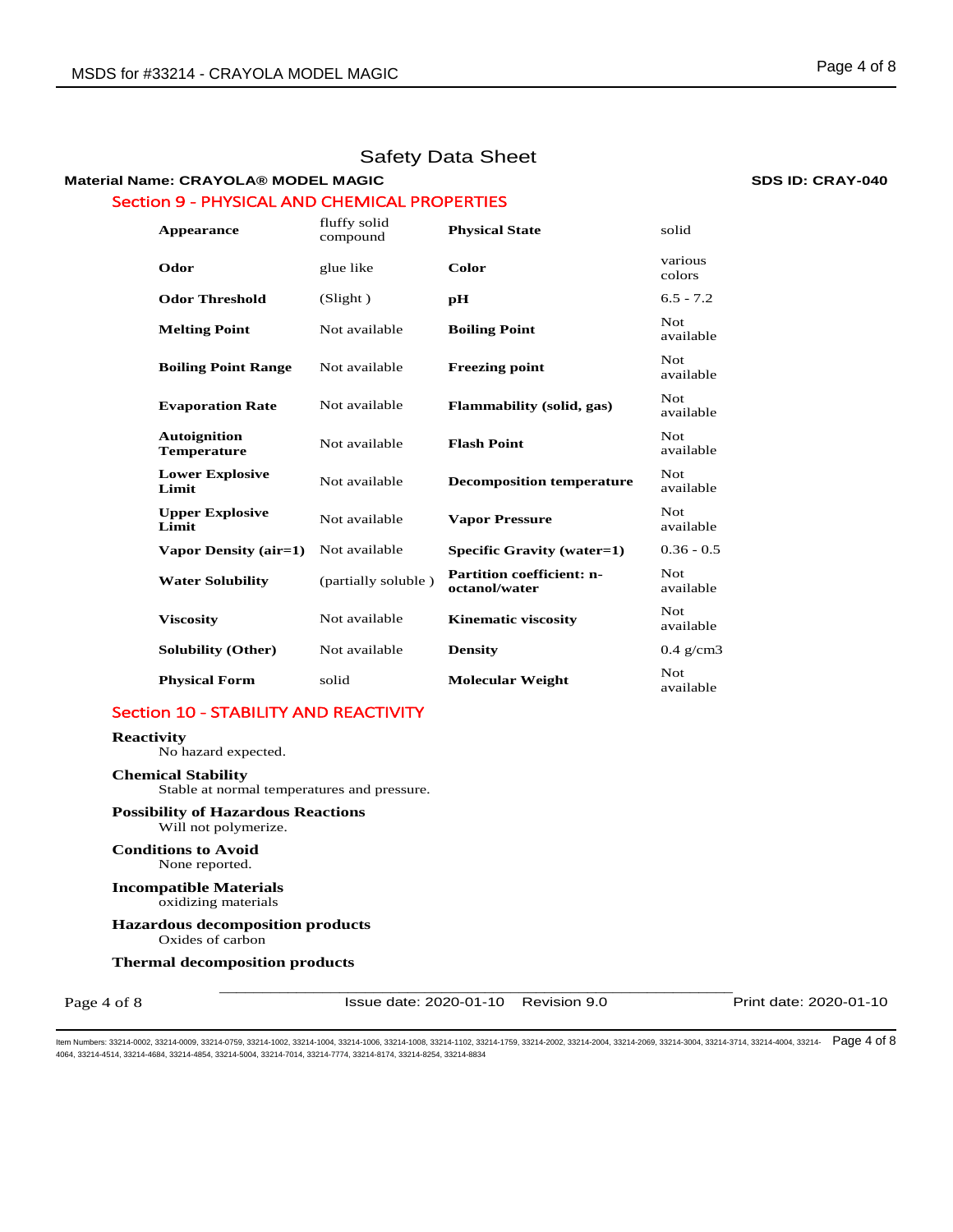## **Material Name: CRAYOLA® MODEL MAGIC SDS ID: CRAY-040** Section 9 - PHYSICAL AND CHEMICAL PROPERTIES

| Appearance                                | fluffy solid<br>compound | <b>Physical State</b>                             | solid                   |
|-------------------------------------------|--------------------------|---------------------------------------------------|-------------------------|
| Odor                                      | glue like                | Color                                             | various<br>colors       |
| <b>Odor Threshold</b>                     | (Slight)                 | рH                                                | $6.5 - 7.2$             |
| <b>Melting Point</b>                      | Not available            | <b>Boiling Point</b>                              | Not.<br>available       |
| <b>Boiling Point Range</b>                | Not available            | <b>Freezing point</b>                             | <b>Not</b><br>available |
| <b>Evaporation Rate</b>                   | Not available            | Flammability (solid, gas)                         | Not.<br>available       |
| <b>Autoignition</b><br><b>Temperature</b> | Not available            | <b>Flash Point</b>                                | Not.<br>available       |
| <b>Lower Explosive</b><br>Limit           | Not available            | <b>Decomposition temperature</b>                  | Not.<br>available       |
| <b>Upper Explosive</b><br>Limit           | Not available            | <b>Vapor Pressure</b>                             | Not.<br>available       |
| Vapor Density (air=1)                     | Not available            | Specific Gravity (water=1)                        | $0.36 - 0.5$            |
| <b>Water Solubility</b>                   | (partially soluble)      | <b>Partition coefficient: n-</b><br>octanol/water | Not.<br>available       |
| <b>Viscosity</b>                          | Not available            | <b>Kinematic viscosity</b>                        | Not.<br>available       |
| <b>Solubility (Other)</b>                 | Not available            | <b>Density</b>                                    | $0.4$ g/cm3             |
| <b>Physical Form</b>                      | solid                    | <b>Molecular Weight</b>                           | Not<br>available        |

## Section 10 - STABILITY AND REACTIVITY

## **Reactivity**

No hazard expected.

## **Chemical Stability**

Stable at normal temperatures and pressure.

## **Possibility of Hazardous Reactions**

Will not polymerize.

## **Conditions to Avoid** None reported.

**Incompatible Materials** oxidizing materials

## **Hazardous decomposition products**  Oxides of carbon

## **Thermal decomposition products**

Page 4 of 8

\_\_\_\_\_\_\_\_\_\_\_\_\_\_\_\_\_\_\_\_\_\_\_\_\_\_\_\_\_\_\_\_\_\_\_\_\_\_\_\_\_\_\_\_\_\_\_\_\_\_\_\_\_\_\_\_\_\_\_\_ Issue date: 2020-01-10 Revision 9.0 Print date: 2020-01-10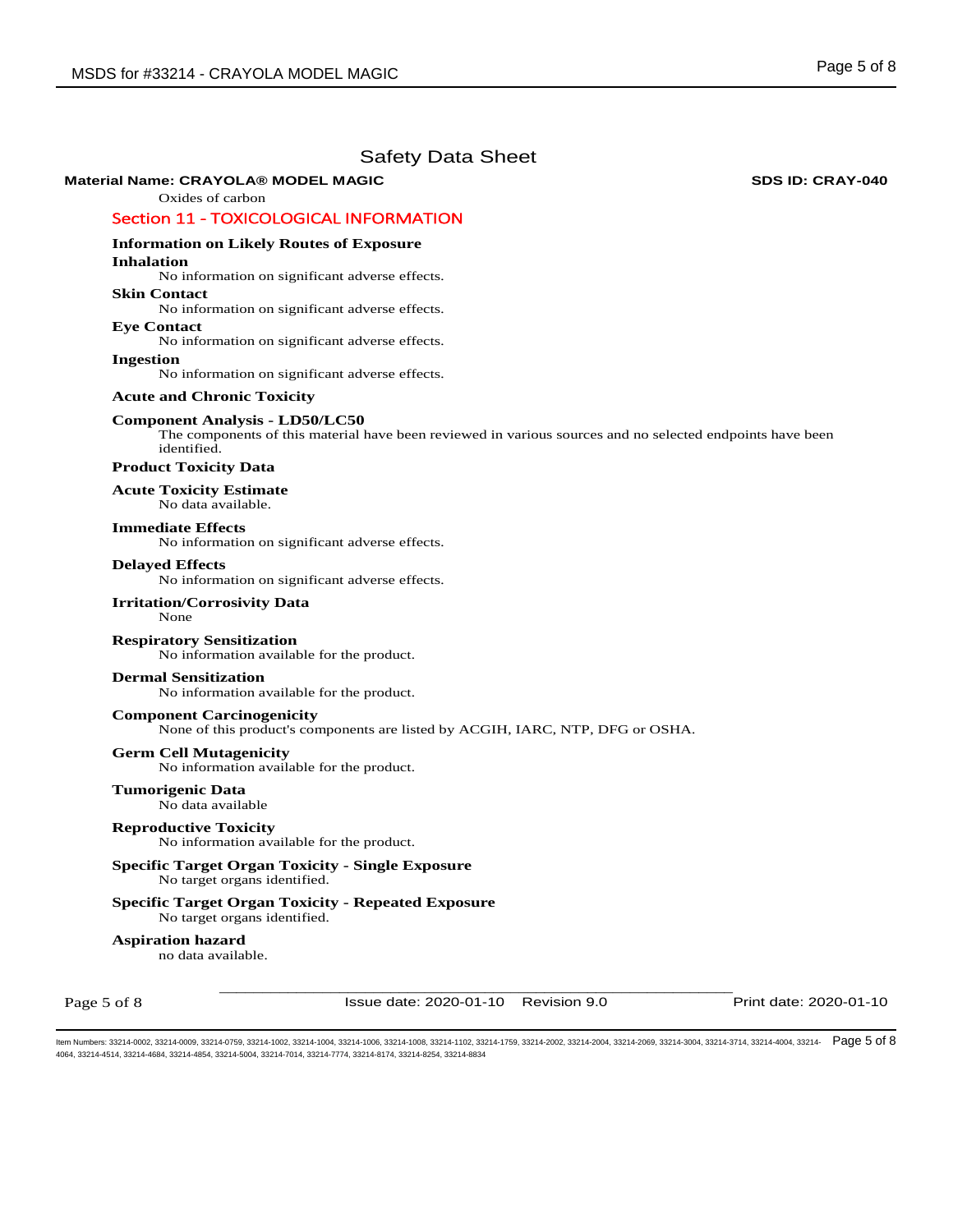## **Material Name: CRAYOLA® MODEL MAGIC SDS ID: CRAY-040**

## Oxides of carbon

## Section 11 - TOXICOLOGICAL INFORMATION

## **Information on Likely Routes of Exposure**

## **Inhalation**

No information on significant adverse effects.

**Skin Contact** 

No information on significant adverse effects.

**Eye Contact**  No information on significant adverse effects.

**Ingestion** 

No information on significant adverse effects.

## **Acute and Chronic Toxicity**

#### **Component Analysis - LD50/LC50**

The components of this material have been reviewed in various sources and no selected endpoints have been identified.

## **Product Toxicity Data**

## **Acute Toxicity Estimate**

No data available.

## **Immediate Effects**

No information on significant adverse effects.

## **Delayed Effects**

No information on significant adverse effects.

## **Irritation/Corrosivity Data**

None

## **Respiratory Sensitization**

No information available for the product.

## **Dermal Sensitization**

No information available for the product.

## **Component Carcinogenicity**

None of this product's components are listed by ACGIH, IARC, NTP, DFG or OSHA.

# **Germ Cell Mutagenicity**

No information available for the product.

#### **Tumorigenic Data**  No data available

## **Reproductive Toxicity**

No information available for the product.

## **Specific Target Organ Toxicity - Single Exposure**  No target organs identified.

**Specific Target Organ Toxicity - Repeated Exposure**  No target organs identified.

## **Aspiration hazard**

no data available.

Page 5 of 8

Issue date: 2020-01-10 Revision 9.0 Print date: 2020-01-10

\_\_\_\_\_\_\_\_\_\_\_\_\_\_\_\_\_\_\_\_\_\_\_\_\_\_\_\_\_\_\_\_\_\_\_\_\_\_\_\_\_\_\_\_\_\_\_\_\_\_\_\_\_\_\_\_\_\_\_\_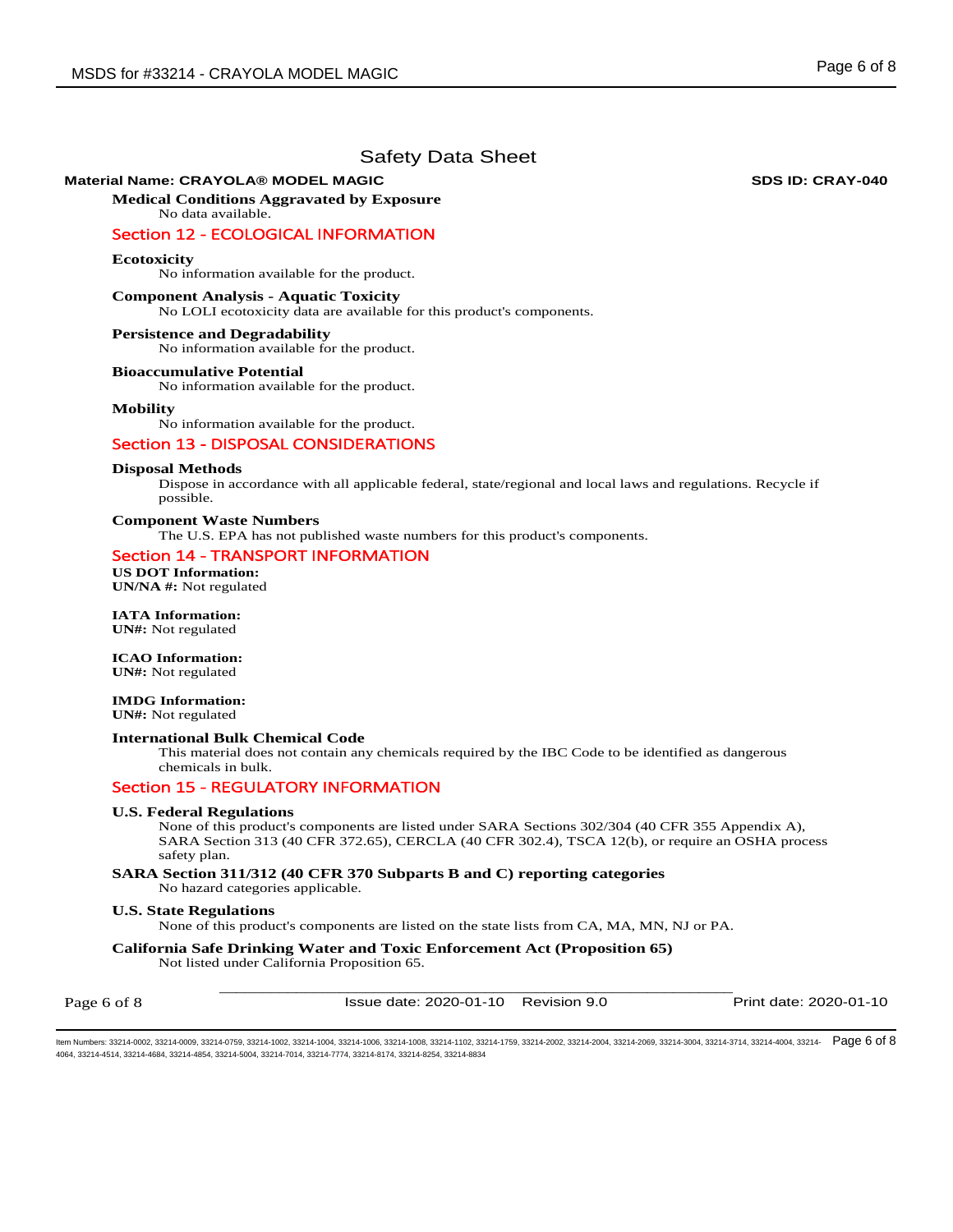## **Material Name: CRAYOLA® MODEL MAGIC SDS ID: CRAY-040**

**Medical Conditions Aggravated by Exposure** No data available.

## Section 12 - ECOLOGICAL INFORMATION

## **Ecotoxicity**

No information available for the product.

## **Component Analysis - Aquatic Toxicity**

No LOLI ecotoxicity data are available for this product's components.

#### **Persistence and Degradability**

No information available for the product.

#### **Bioaccumulative Potential**

No information available for the product.

#### **Mobility**

No information available for the product.

## Section 13 - DISPOSAL CONSIDERATIONS

#### **Disposal Methods**

Dispose in accordance with all applicable federal, state/regional and local laws and regulations. Recycle if possible.

## **Component Waste Numbers**

The U.S. EPA has not published waste numbers for this product's components.

## Section 14 - TRANSPORT INFORMATION

**US DOT Information: UN/NA #:** Not regulated

**IATA Information: UN#:** Not regulated

**ICAO Information:** 

# **UN#:** Not regulated

**IMDG Information:** 

**UN#:** Not regulated

## **International Bulk Chemical Code**

This material does not contain any chemicals required by the IBC Code to be identified as dangerous chemicals in bulk.

## Section 15 - REGULATORY INFORMATION

### **U.S. Federal Regulations**

None of this product's components are listed under SARA Sections 302/304 (40 CFR 355 Appendix A), SARA Section 313 (40 CFR 372.65), CERCLA (40 CFR 302.4), TSCA 12(b), or require an OSHA process safety plan.

## **SARA Section 311/312 (40 CFR 370 Subparts B and C) reporting categories**

No hazard categories applicable.

## **U.S. State Regulations**

None of this product's components are listed on the state lists from CA, MA, MN, NJ or PA.

# **California Safe Drinking Water and Toxic Enforcement Act (Proposition 65)**

Not listed under California Proposition 65.

Page 6 of 8

\_\_\_\_\_\_\_\_\_\_\_\_\_\_\_\_\_\_\_\_\_\_\_\_\_\_\_\_\_\_\_\_\_\_\_\_\_\_\_\_\_\_\_\_\_\_\_\_\_\_\_\_\_\_\_\_\_\_\_\_ Issue date: 2020-01-10 Revision 9.0 Print date: 2020-01-10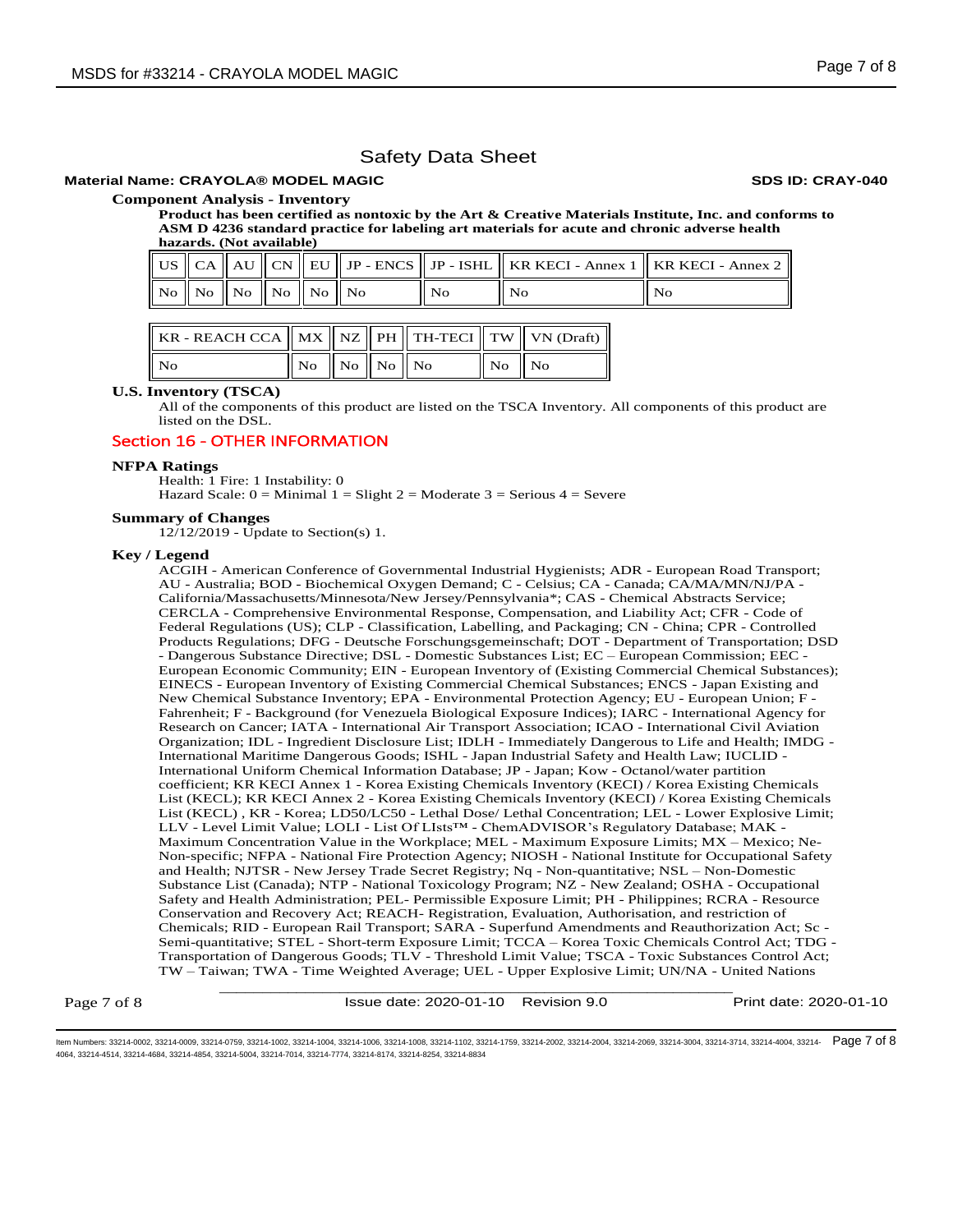## **Material Name: CRAYOLA® MODEL MAGIC SDS ID: CRAY-040**

## **Component Analysis - Inventory**

**Product has been certified as nontoxic by the Art & Creative Materials Institute, Inc. and conforms to ASM D 4236 standard practice for labeling art materials for acute and chronic adverse health hazards. (Not available)**

|  |                                                  |  |     | US $\ $ CA $\ $ AU $\ $ CN $\ $ EU $\ $ JP - ENCS $\ $ JP - ISHL $\ $ KR KECI - Annex 1 $\ $ KR KECI - Annex 2 |      |
|--|--------------------------------------------------|--|-----|----------------------------------------------------------------------------------------------------------------|------|
|  | $\ N_0\ $ No $\ N_0\ $ No $\ N_0\ $ No $\ N_0\ $ |  | No. | No.                                                                                                            | - No |

| KR - REACH CCA    MX    NZ    PH    TH-TECI    TW    VN (Draft) |                                             |  |                                   |  |
|-----------------------------------------------------------------|---------------------------------------------|--|-----------------------------------|--|
| $\parallel$ No                                                  | $\vert$ No $\vert$ No $\vert$ No $\vert$ No |  | $\overline{N_0}$ $\overline{N_0}$ |  |

## **U.S. Inventory (TSCA)**

All of the components of this product are listed on the TSCA Inventory. All components of this product are listed on the DSL.

## Section 16 - OTHER INFORMATION

#### **NFPA Ratings**

Health: 1 Fire: 1 Instability: 0 Hazard Scale:  $0 =$  Minimal  $1 =$  Slight  $2 =$  Moderate  $3 =$  Serious  $4 =$  Severe

#### **Summary of Changes**

12/12/2019 - Update to Section(s) 1.

#### **Key / Legend**

ACGIH - American Conference of Governmental Industrial Hygienists; ADR - European Road Transport; AU - Australia; BOD - Biochemical Oxygen Demand; C - Celsius; CA - Canada; CA/MA/MN/NJ/PA - California/Massachusetts/Minnesota/New Jersey/Pennsylvania\*; CAS - Chemical Abstracts Service; CERCLA - Comprehensive Environmental Response, Compensation, and Liability Act; CFR - Code of Federal Regulations (US); CLP - Classification, Labelling, and Packaging; CN - China; CPR - Controlled Products Regulations; DFG - Deutsche Forschungsgemeinschaft; DOT - Department of Transportation; DSD - Dangerous Substance Directive; DSL - Domestic Substances List; EC – European Commission; EEC - European Economic Community; EIN - European Inventory of (Existing Commercial Chemical Substances); EINECS - European Inventory of Existing Commercial Chemical Substances; ENCS - Japan Existing and New Chemical Substance Inventory; EPA - Environmental Protection Agency; EU - European Union; F - Fahrenheit; F - Background (for Venezuela Biological Exposure Indices); IARC - International Agency for Research on Cancer; IATA - International Air Transport Association; ICAO - International Civil Aviation Organization; IDL - Ingredient Disclosure List; IDLH - Immediately Dangerous to Life and Health; IMDG - International Maritime Dangerous Goods; ISHL - Japan Industrial Safety and Health Law; IUCLID - International Uniform Chemical Information Database; JP - Japan; Kow - Octanol/water partition coefficient; KR KECI Annex 1 - Korea Existing Chemicals Inventory (KECI) / Korea Existing Chemicals List (KECL); KR KECI Annex 2 - Korea Existing Chemicals Inventory (KECI) / Korea Existing Chemicals List (KECL) , KR - Korea; LD50/LC50 - Lethal Dose/ Lethal Concentration; LEL - Lower Explosive Limit; LLV - Level Limit Value; LOLI - List Of LIsts™ - ChemADVISOR's Regulatory Database; MAK - Maximum Concentration Value in the Workplace; MEL - Maximum Exposure Limits; MX – Mexico; Ne-Non-specific; NFPA - National Fire Protection Agency; NIOSH - National Institute for Occupational Safety and Health; NJTSR - New Jersey Trade Secret Registry; Nq - Non-quantitative; NSL – Non-Domestic Substance List (Canada); NTP - National Toxicology Program; NZ - New Zealand; OSHA - Occupational Safety and Health Administration; PEL- Permissible Exposure Limit; PH - Philippines; RCRA - Resource Conservation and Recovery Act; REACH- Registration, Evaluation, Authorisation, and restriction of Chemicals; RID - European Rail Transport; SARA - Superfund Amendments and Reauthorization Act; Sc - Semi-quantitative; STEL - Short-term Exposure Limit; TCCA – Korea Toxic Chemicals Control Act; TDG - Transportation of Dangerous Goods; TLV - Threshold Limit Value; TSCA - Toxic Substances Control Act; TW – Taiwan; TWA - Time Weighted Average; UEL - Upper Explosive Limit; UN/NA - United Nations

Page 7 of 8

\_\_\_\_\_\_\_\_\_\_\_\_\_\_\_\_\_\_\_\_\_\_\_\_\_\_\_\_\_\_\_\_\_\_\_\_\_\_\_\_\_\_\_\_\_\_\_\_\_\_\_\_\_\_\_\_\_\_\_\_ Issue date: 2020-01-10 Revision 9.0 Print date: 2020-01-10